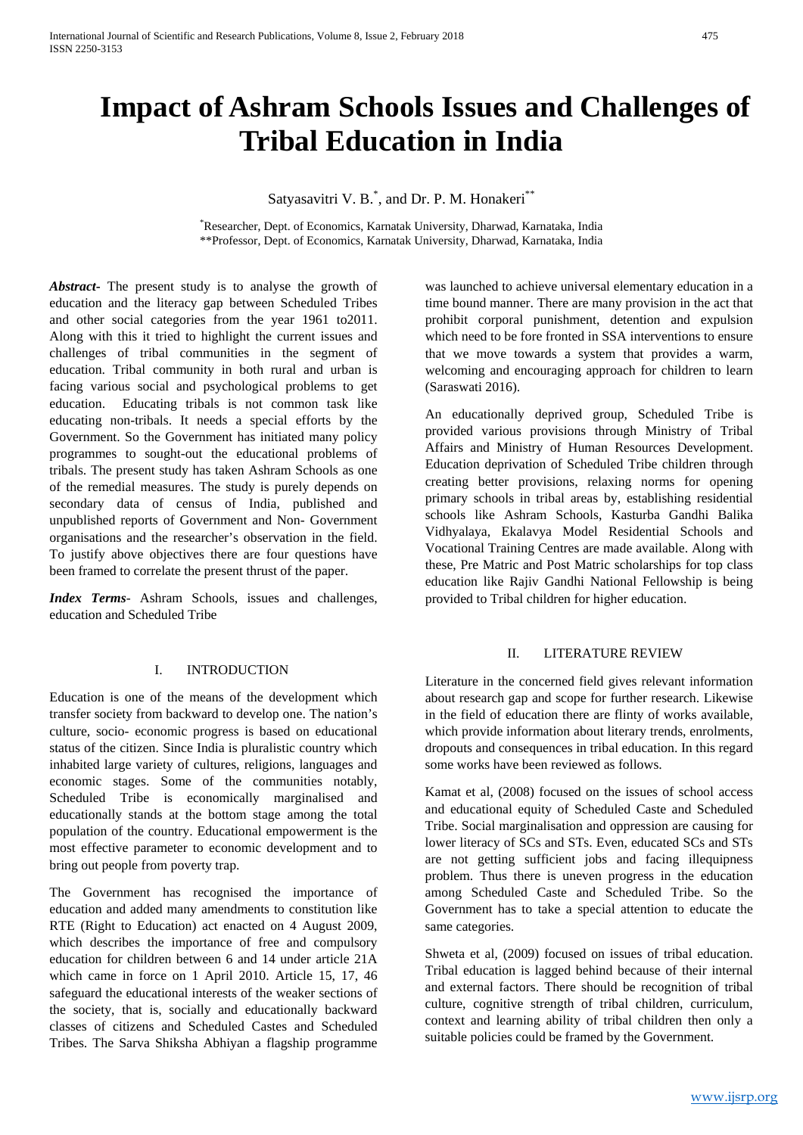# **Impact of Ashram Schools Issues and Challenges of Tribal Education in India**

Satyasavitri V. B.<sup>\*</sup>, and Dr. P. M. Honakeri<sup>\*\*</sup>

\* Researcher, Dept. of Economics, Karnatak University, Dharwad, Karnataka, India \*\*Professor, Dept. of Economics, Karnatak University, Dharwad, Karnataka, India

*Abstract***-** The present study is to analyse the growth of education and the literacy gap between Scheduled Tribes and other social categories from the year 1961 to2011. Along with this it tried to highlight the current issues and challenges of tribal communities in the segment of education. Tribal community in both rural and urban is facing various social and psychological problems to get education. Educating tribals is not common task like educating non-tribals. It needs a special efforts by the Government. So the Government has initiated many policy programmes to sought-out the educational problems of tribals. The present study has taken Ashram Schools as one of the remedial measures. The study is purely depends on secondary data of census of India, published and unpublished reports of Government and Non- Government organisations and the researcher's observation in the field. To justify above objectives there are four questions have been framed to correlate the present thrust of the paper.

*Index Terms*- Ashram Schools, issues and challenges, education and Scheduled Tribe

#### I. INTRODUCTION

Education is one of the means of the development which transfer society from backward to develop one. The nation's culture, socio- economic progress is based on educational status of the citizen. Since India is pluralistic country which inhabited large variety of cultures, religions, languages and economic stages. Some of the communities notably, Scheduled Tribe is economically marginalised and educationally stands at the bottom stage among the total population of the country. Educational empowerment is the most effective parameter to economic development and to bring out people from poverty trap.

The Government has recognised the importance of education and added many amendments to constitution like RTE (Right to Education) act enacted on 4 August 2009, which describes the importance of free and compulsory education for children between 6 and 14 under article 21A which came in force on 1 April 2010. Article 15, 17, 46 safeguard the educational interests of the weaker sections of the society, that is, socially and educationally backward classes of citizens and Scheduled Castes and Scheduled Tribes. The Sarva Shiksha Abhiyan a flagship programme

was launched to achieve universal elementary education in a time bound manner. There are many provision in the act that prohibit corporal punishment, detention and expulsion which need to be fore fronted in SSA interventions to ensure that we move towards a system that provides a warm, welcoming and encouraging approach for children to learn (Saraswati 2016).

An educationally deprived group, Scheduled Tribe is provided various provisions through Ministry of Tribal Affairs and Ministry of Human Resources Development. Education deprivation of Scheduled Tribe children through creating better provisions, relaxing norms for opening primary schools in tribal areas by, establishing residential schools like Ashram Schools, Kasturba Gandhi Balika Vidhyalaya, Ekalavya Model Residential Schools and Vocational Training Centres are made available. Along with these, Pre Matric and Post Matric scholarships for top class education like Rajiv Gandhi National Fellowship is being provided to Tribal children for higher education.

#### II. LITERATURE REVIEW

Literature in the concerned field gives relevant information about research gap and scope for further research. Likewise in the field of education there are flinty of works available, which provide information about literary trends, enrolments, dropouts and consequences in tribal education. In this regard some works have been reviewed as follows.

Kamat et al, (2008) focused on the issues of school access and educational equity of Scheduled Caste and Scheduled Tribe. Social marginalisation and oppression are causing for lower literacy of SCs and STs. Even, educated SCs and STs are not getting sufficient jobs and facing illequipness problem. Thus there is uneven progress in the education among Scheduled Caste and Scheduled Tribe. So the Government has to take a special attention to educate the same categories.

Shweta et al, (2009) focused on issues of tribal education. Tribal education is lagged behind because of their internal and external factors. There should be recognition of tribal culture, cognitive strength of tribal children, curriculum, context and learning ability of tribal children then only a suitable policies could be framed by the Government.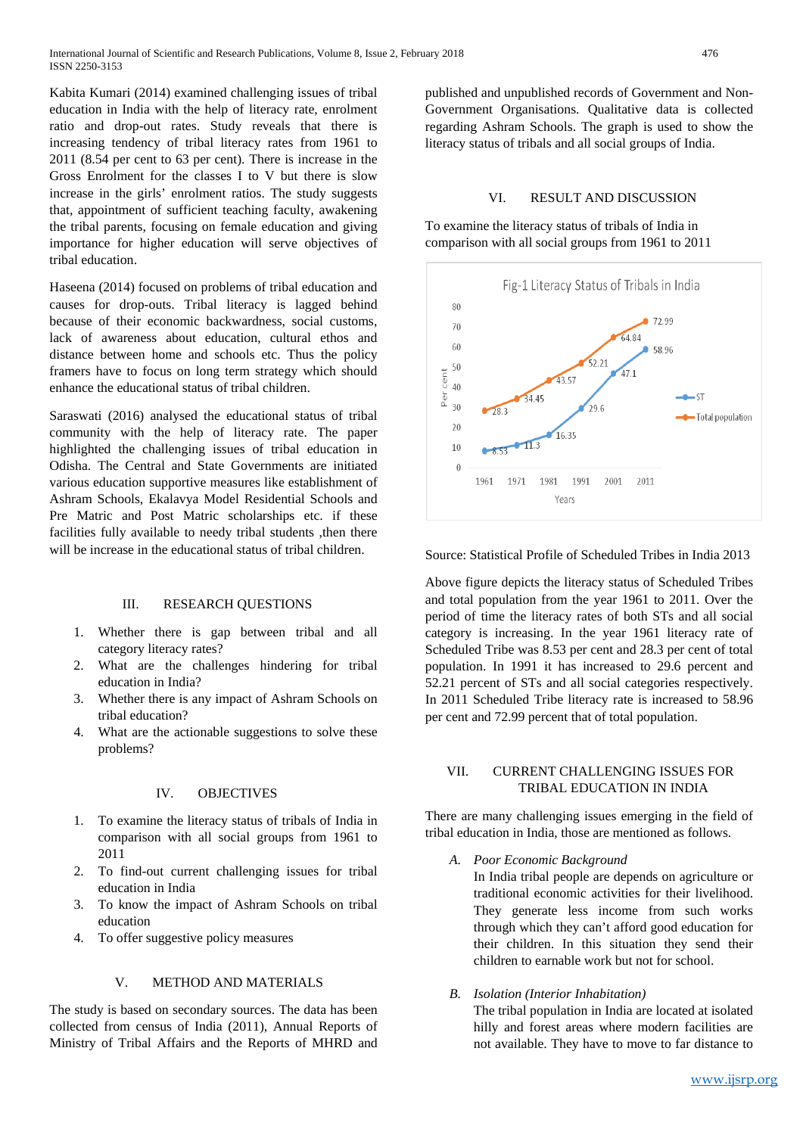Kabita Kumari (2014) examined challenging issues of tribal education in India with the help of literacy rate, enrolment ratio and drop-out rates. Study reveals that there is increasing tendency of tribal literacy rates from 1961 to 2011 (8.54 per cent to 63 per cent). There is increase in the Gross Enrolment for the classes I to V but there is slow increase in the girls' enrolment ratios. The study suggests that, appointment of sufficient teaching faculty, awakening the tribal parents, focusing on female education and giving importance for higher education will serve objectives of tribal education.

Haseena (2014) focused on problems of tribal education and causes for drop-outs. Tribal literacy is lagged behind because of their economic backwardness, social customs, lack of awareness about education, cultural ethos and distance between home and schools etc. Thus the policy framers have to focus on long term strategy which should enhance the educational status of tribal children.

Saraswati (2016) analysed the educational status of tribal community with the help of literacy rate. The paper highlighted the challenging issues of tribal education in Odisha. The Central and State Governments are initiated various education supportive measures like establishment of Ashram Schools, Ekalavya Model Residential Schools and Pre Matric and Post Matric scholarships etc. if these facilities fully available to needy tribal students , then there will be increase in the educational status of tribal children.

#### III. RESEARCH QUESTIONS

- 1. Whether there is gap between tribal and all category literacy rates?
- 2. What are the challenges hindering for tribal education in India?
- 3. Whether there is any impact of Ashram Schools on tribal education?
- 4. What are the actionable suggestions to solve these problems?

### IV. OBJECTIVES

- 1. To examine the literacy status of tribals of India in comparison with all social groups from 1961 to 2011
- 2. To find-out current challenging issues for tribal education in India
- 3. To know the impact of Ashram Schools on tribal education
- 4. To offer suggestive policy measures

## V. METHOD AND MATERIALS

The study is based on secondary sources. The data has been collected from census of India (2011), Annual Reports of Ministry of Tribal Affairs and the Reports of MHRD and published and unpublished records of Government and Non-Government Organisations. Qualitative data is collected regarding Ashram Schools. The graph is used to show the literacy status of tribals and all social groups of India.

#### VI. RESULT AND DISCUSSION

To examine the literacy status of tribals of India in comparison with all social groups from 1961 to 2011



Source: Statistical Profile of Scheduled Tribes in India 2013

Above figure depicts the literacy status of Scheduled Tribes and total population from the year 1961 to 2011. Over the period of time the literacy rates of both STs and all social category is increasing. In the year 1961 literacy rate of Scheduled Tribe was 8.53 per cent and 28.3 per cent of total population. In 1991 it has increased to 29.6 percent and 52.21 percent of STs and all social categories respectively. In 2011 Scheduled Tribe literacy rate is increased to 58.96 per cent and 72.99 percent that of total population.

#### VII. CURRENT CHALLENGING ISSUES FOR TRIBAL EDUCATION IN INDIA

There are many challenging issues emerging in the field of tribal education in India, those are mentioned as follows.

*A. Poor Economic Background*

In India tribal people are depends on agriculture or traditional economic activities for their livelihood. They generate less income from such works through which they can't afford good education for their children. In this situation they send their children to earnable work but not for school.

*B. Isolation (Interior Inhabitation)*

The tribal population in India are located at isolated hilly and forest areas where modern facilities are not available. They have to move to far distance to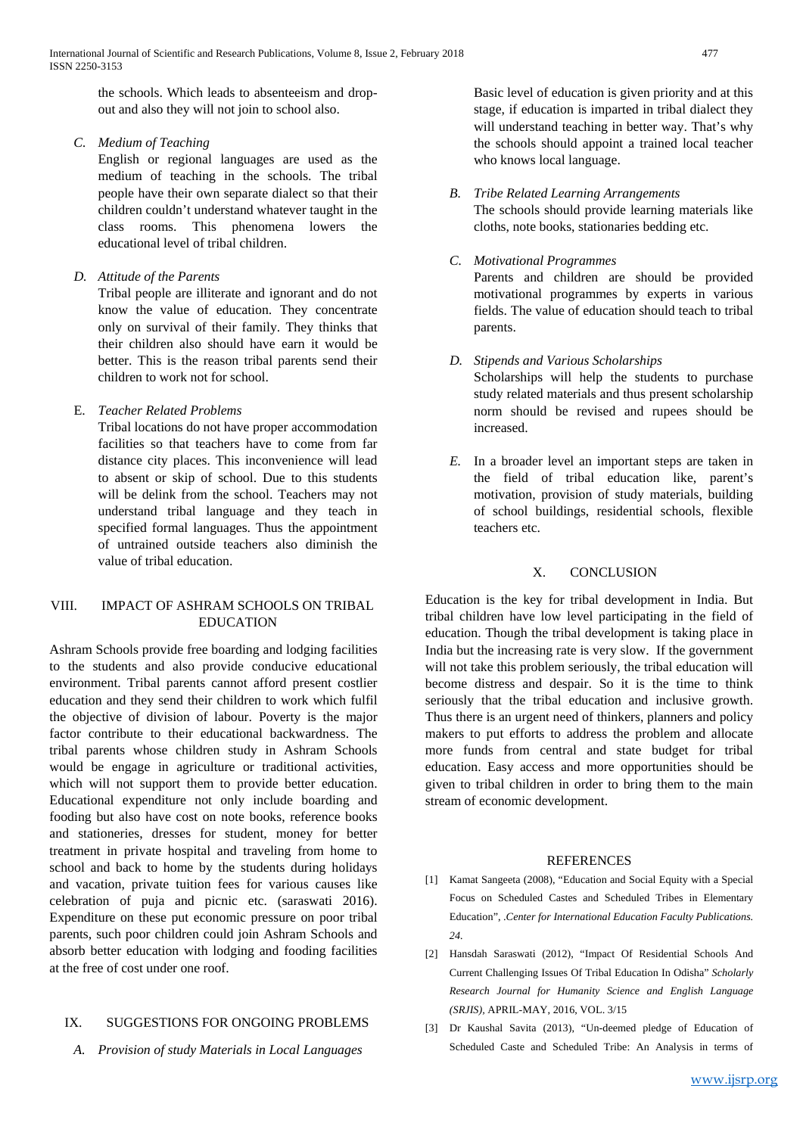the schools. Which leads to absenteeism and dropout and also they will not join to school also.

*C. Medium of Teaching*

English or regional languages are used as the medium of teaching in the schools. The tribal people have their own separate dialect so that their children couldn't understand whatever taught in the class rooms. This phenomena lowers the educational level of tribal children.

*D. Attitude of the Parents*

Tribal people are illiterate and ignorant and do not know the value of education. They concentrate only on survival of their family. They thinks that their children also should have earn it would be better. This is the reason tribal parents send their children to work not for school.

E. *Teacher Related Problems*

Tribal locations do not have proper accommodation facilities so that teachers have to come from far distance city places. This inconvenience will lead to absent or skip of school. Due to this students will be delink from the school. Teachers may not understand tribal language and they teach in specified formal languages. Thus the appointment of untrained outside teachers also diminish the value of tribal education.

#### VIII. IMPACT OF ASHRAM SCHOOLS ON TRIBAL EDUCATION

Ashram Schools provide free boarding and lodging facilities to the students and also provide conducive educational environment. Tribal parents cannot afford present costlier education and they send their children to work which fulfil the objective of division of labour. Poverty is the major factor contribute to their educational backwardness. The tribal parents whose children study in Ashram Schools would be engage in agriculture or traditional activities, which will not support them to provide better education. Educational expenditure not only include boarding and fooding but also have cost on note books, reference books and stationeries, dresses for student, money for better treatment in private hospital and traveling from home to school and back to home by the students during holidays and vacation, private tuition fees for various causes like celebration of puja and picnic etc. (saraswati 2016). Expenditure on these put economic pressure on poor tribal parents, such poor children could join Ashram Schools and absorb better education with lodging and fooding facilities at the free of cost under one roof.

## IX. SUGGESTIONS FOR ONGOING PROBLEMS

*A. Provision of study Materials in Local Languages*

Basic level of education is given priority and at this stage, if education is imparted in tribal dialect they will understand teaching in better way. That's why the schools should appoint a trained local teacher who knows local language.

- *B. Tribe Related Learning Arrangements* The schools should provide learning materials like cloths, note books, stationaries bedding etc.
- *C. Motivational Programmes*

Parents and children are should be provided motivational programmes by experts in various fields. The value of education should teach to tribal parents.

- *D. Stipends and Various Scholarships* Scholarships will help the students to purchase study related materials and thus present scholarship norm should be revised and rupees should be increased.
- *E.* In a broader level an important steps are taken in the field of tribal education like, parent's motivation, provision of study materials, building of school buildings, residential schools, flexible teachers etc.

## X. CONCLUSION

Education is the key for tribal development in India. But tribal children have low level participating in the field of education. Though the tribal development is taking place in India but the increasing rate is very slow. If the government will not take this problem seriously, the tribal education will become distress and despair. So it is the time to think seriously that the tribal education and inclusive growth. Thus there is an urgent need of thinkers, planners and policy makers to put efforts to address the problem and allocate more funds from central and state budget for tribal education. Easy access and more opportunities should be given to tribal children in order to bring them to the main stream of economic development.

## **REFERENCES**

- [1] Kamat Sangeeta (2008), "Education and Social Equity with a Special Focus on Scheduled Castes and Scheduled Tribes in Elementary Education", .*Center for International Education Faculty Publications. 24.*
- [2] Hansdah Saraswati (2012), "Impact Of Residential Schools And Current Challenging Issues Of Tribal Education In Odisha" *Scholarly Research Journal for Humanity Science and English Language (SRJIS),* APRIL-MAY, 2016, VOL. 3/15
- [3] Dr Kaushal Savita (2013), "Un-deemed pledge of Education of Scheduled Caste and Scheduled Tribe: An Analysis in terms of